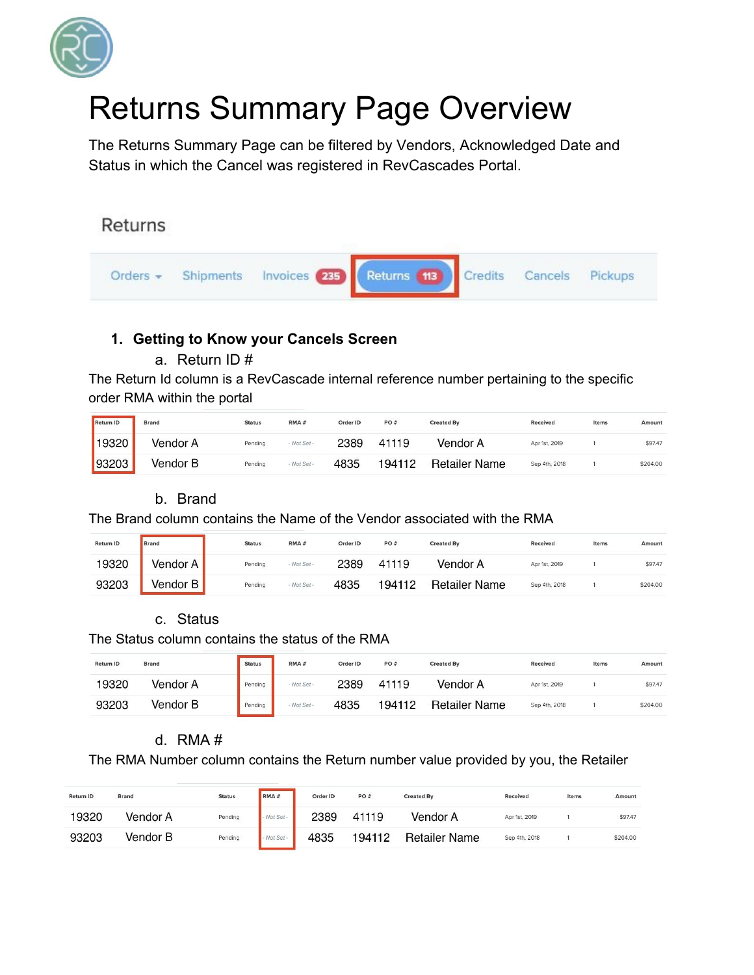

# Returns Summary Page Overview

The Returns Summary Page can be filtered by Vendors, Acknowledged Date and Status in which the Cancel was registered in RevCascades Portal.

# Returns



## **1. Getting to Know your Cancels Screen**

## a. Return ID #

The Return Id column is a RevCascade internal reference number pertaining to the specific order RMA within the portal

| Return ID | <b>Brand</b> | <b>Status</b> | RMA#        | Order ID | PO#    | <b>Created By</b>    | <b>Received</b> | Items | Amount   |
|-----------|--------------|---------------|-------------|----------|--------|----------------------|-----------------|-------|----------|
| 19320     | Vendor A     | Pending       | - Not Set - | 2389     | 41119  | Vendor A             | Apr 1st, 2019   |       | \$97.47  |
| 93203     | Vendor B     | Pending       | - Not Set - | 4835     | 194112 | <b>Retailer Name</b> | Sep 4th, 2018   |       | \$204.00 |

## b. Brand

The Brand column contains the Name of the Vendor associated with the RMA

| Return ID | Brand      | <b>Status</b> | RMA#        | Order ID | PO#    | <b>Created By</b>    | Received      | Items | Amount   |
|-----------|------------|---------------|-------------|----------|--------|----------------------|---------------|-------|----------|
| 19320     | Vendor A I | Pending       | - Not Set - | 2389     | 41119  | Vendor A             | Apr 1st, 2019 |       | \$97.47  |
| 93203     | √endor B ∣ | Pending       | - Not Set - | 4835     | 194112 | <b>Retailer Name</b> | Sep 4th, 2018 |       | \$204.00 |

## c. Status

The Status column contains the status of the RMA

| Return ID | <b>Brand</b> | <b>Status</b> | RMA#          | Order ID | PO#    | <b>Created By</b>    | <b>Received</b> | Items | Amount   |
|-----------|--------------|---------------|---------------|----------|--------|----------------------|-----------------|-------|----------|
| 19320     | Vendor A     | Pending       | - Not Set -   | 2389     | 41119  | Vendor A             | Apr 1st, 2019   |       | \$97.47  |
| 93203     | Vendor B     | Pending       | $-$ Not Set - | 4835     | 194112 | <b>Retailer Name</b> | Sep 4th, 2018   |       | \$204.00 |

## d. RMA #

The RMA Number column contains the Return number value provided by you, the Retailer

| <b>Return ID</b> | <b>Brand</b> | <b>Status</b> | RMA#    | Order ID | PO#    | <b>Created By</b>    | Received      | Items | Amount   |
|------------------|--------------|---------------|---------|----------|--------|----------------------|---------------|-------|----------|
| 19320            | Vendor A     | Pending       | Not Set | 2389     | 41119  | Vendor A             | Apr 1st, 2019 |       | \$97.47  |
| 93203            | Vendor B     | Pending       | Not Set | 4835     | 194112 | <b>Retailer Name</b> | Sep 4th, 2018 |       | \$204.00 |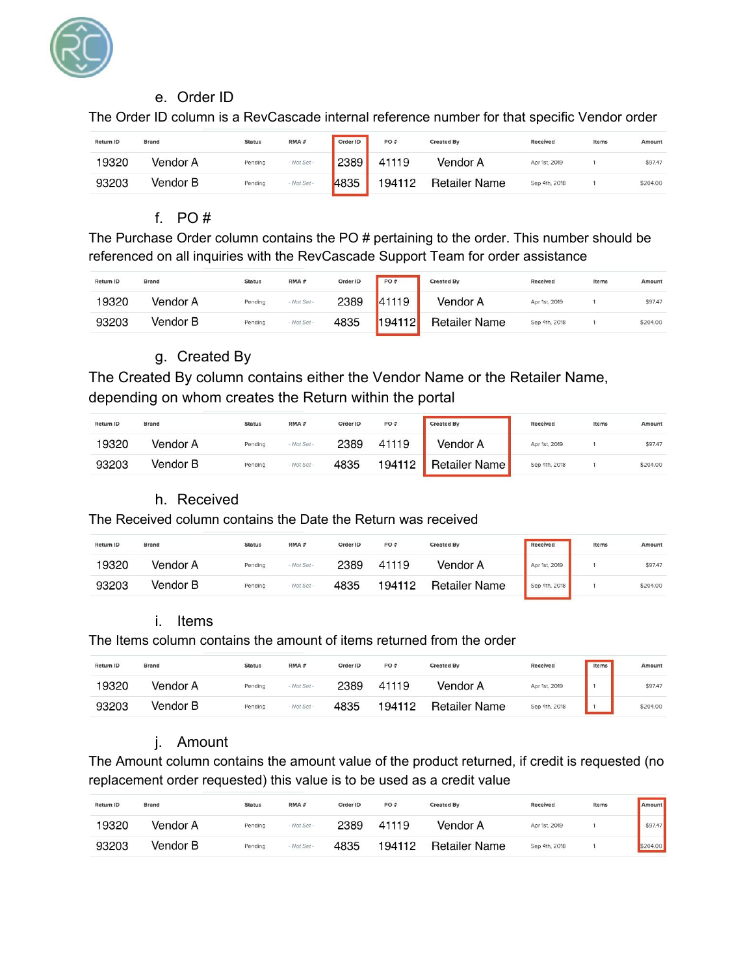

#### e. Order ID

The Order ID column is a RevCascade internal reference number for that specific Vendor order

| <b>Return ID</b> | <b>Brand</b> | <b>Status</b> | RMA#        | Order ID | PO#    | <b>Created By</b>    | Received      | Items | Amount   |
|------------------|--------------|---------------|-------------|----------|--------|----------------------|---------------|-------|----------|
| 19320            | Vendor A     | Pending       | - Not Set - | 2389     | 41119  | Vendor A             | Apr 1st, 2019 |       | \$97.47  |
| 93203            | Vendor B     | Pending       | - Not Set - | 4835     | 194112 | <b>Retailer Name</b> | Sep 4th, 2018 |       | \$204.00 |

#### f. PO #

The Purchase Order column contains the PO # pertaining to the order. This number should be referenced on all inquiries with the RevCascade Support Team for order assistance

| <b>Return ID</b> | <b>Brand</b> | <b>Status</b> | RMA#        | Order ID | <b>PO#</b> | <b>Created By</b>    | Received      | Items | Amount   |
|------------------|--------------|---------------|-------------|----------|------------|----------------------|---------------|-------|----------|
| 19320            | Vendor A     | Pending       | - Not Set - | 2389     | 41119      | Vendor A             | Apr 1st, 2019 |       | \$97.47  |
| 93203            | Vendor B     | Pending       | - Not Set - | 4835     | 194112     | <b>Retailer Name</b> | Sep 4th, 2018 |       | \$204.00 |

## g. Created By

The Created By column contains either the Vendor Name or the Retailer Name, depending on whom creates the Return within the portal

| Return ID | <b>Brand</b> | <b>Status</b> | RMA#        | Order ID | PO#    | <b>Created By</b> | Received      | Items | Amount   |
|-----------|--------------|---------------|-------------|----------|--------|-------------------|---------------|-------|----------|
| 19320     | Vendor A     | Pending       | - Not Set - | 2389     | 41119  | Vendor A          | Apr 1st, 2019 |       | \$97.47  |
| 93203     | Vendor B     | Pending       | - Not Set - | 4835     | 194112 | Retailer Name     | Sep 4th, 2018 |       | \$204.00 |

## h. Received

#### The Received column contains the Date the Return was received

| <b>Return ID</b> | <b>Brand</b> | <b>Status</b> | RMA#        | Order ID | PO#    | <b>Created By</b>    | Received      | Items | Amount   |
|------------------|--------------|---------------|-------------|----------|--------|----------------------|---------------|-------|----------|
| 19320            | Vendor A     | Pending       | - Not Set - | 2389     | 41119  | Vendor A             | Apr 1st, 2019 |       | \$97.47  |
| 93203            | Vendor B     | Pending       | - Not Set - | 4835     | 194112 | <b>Retailer Name</b> | Sep 4th, 2018 |       | \$204.00 |

#### i. Items

#### The Items column contains the amount of items returned from the order

| Return ID | <b>Brand</b> | <b>Status</b> | RMA#        | Order ID | PO#    | <b>Created By</b>    | Received      | Items | Amount   |
|-----------|--------------|---------------|-------------|----------|--------|----------------------|---------------|-------|----------|
| 19320     | Vendor A     | Pending       | - Not Set - | 2389     | 41119  | Vendor A             | Apr 1st, 2019 |       | \$97.47  |
| 93203     | Vendor B     | Pending       | - Not Set - | 4835     | 194112 | <b>Retailer Name</b> | Sep 4th, 2018 |       | \$204.00 |

## j. Amount

The Amount column contains the amount value of the product returned, if credit is requested (no replacement order requested) this value is to be used as a credit value

| <b>Return ID</b> | <b>Brand</b> | <b>Status</b> | RMA#        | Order ID | PO#    | <b>Created By</b> | Received      | Items | <b>Amount</b> |
|------------------|--------------|---------------|-------------|----------|--------|-------------------|---------------|-------|---------------|
| 19320            | Vendor A     | Pending       | - Not Set - | 2389     | 41119  | Vendor A          | Apr 1st, 2019 |       | \$97.47       |
| 93203            | Vendor B     | Pending       | - Not Set - | 4835     | 194112 | Retailer Name     | Sep 4th, 2018 |       | \$204.00      |